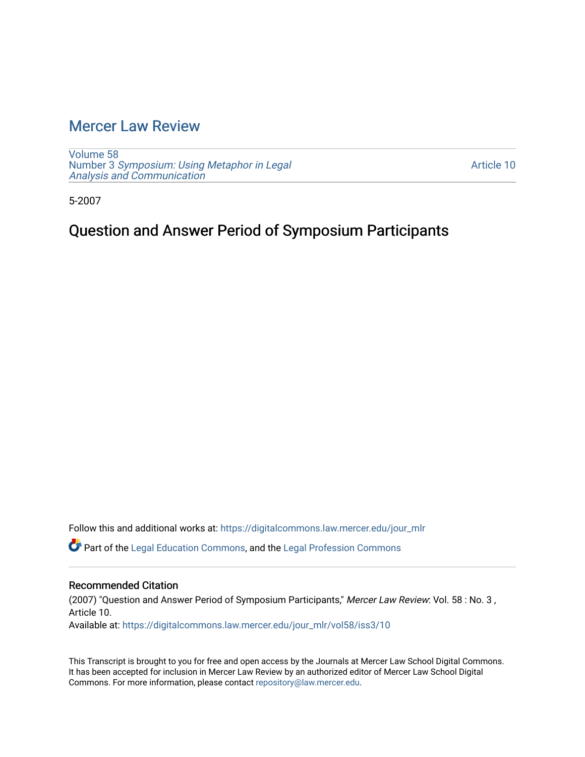## [Mercer Law Review](https://digitalcommons.law.mercer.edu/jour_mlr)

[Volume 58](https://digitalcommons.law.mercer.edu/jour_mlr/vol58) Number 3 [Symposium: Using Metaphor in Legal](https://digitalcommons.law.mercer.edu/jour_mlr/vol58/iss3)  [Analysis and Communication](https://digitalcommons.law.mercer.edu/jour_mlr/vol58/iss3) 

[Article 10](https://digitalcommons.law.mercer.edu/jour_mlr/vol58/iss3/10) 

5-2007

## Question and Answer Period of Symposium Participants

Follow this and additional works at: [https://digitalcommons.law.mercer.edu/jour\\_mlr](https://digitalcommons.law.mercer.edu/jour_mlr?utm_source=digitalcommons.law.mercer.edu%2Fjour_mlr%2Fvol58%2Fiss3%2F10&utm_medium=PDF&utm_campaign=PDFCoverPages)

Part of the [Legal Education Commons,](http://network.bepress.com/hgg/discipline/857?utm_source=digitalcommons.law.mercer.edu%2Fjour_mlr%2Fvol58%2Fiss3%2F10&utm_medium=PDF&utm_campaign=PDFCoverPages) and the [Legal Profession Commons](http://network.bepress.com/hgg/discipline/1075?utm_source=digitalcommons.law.mercer.edu%2Fjour_mlr%2Fvol58%2Fiss3%2F10&utm_medium=PDF&utm_campaign=PDFCoverPages) 

### Recommended Citation

(2007) "Question and Answer Period of Symposium Participants," Mercer Law Review: Vol. 58 : No. 3 , Article 10. Available at: [https://digitalcommons.law.mercer.edu/jour\\_mlr/vol58/iss3/10](https://digitalcommons.law.mercer.edu/jour_mlr/vol58/iss3/10?utm_source=digitalcommons.law.mercer.edu%2Fjour_mlr%2Fvol58%2Fiss3%2F10&utm_medium=PDF&utm_campaign=PDFCoverPages) 

This Transcript is brought to you for free and open access by the Journals at Mercer Law School Digital Commons. It has been accepted for inclusion in Mercer Law Review by an authorized editor of Mercer Law School Digital Commons. For more information, please contact [repository@law.mercer.edu.](mailto:repository@law.mercer.edu)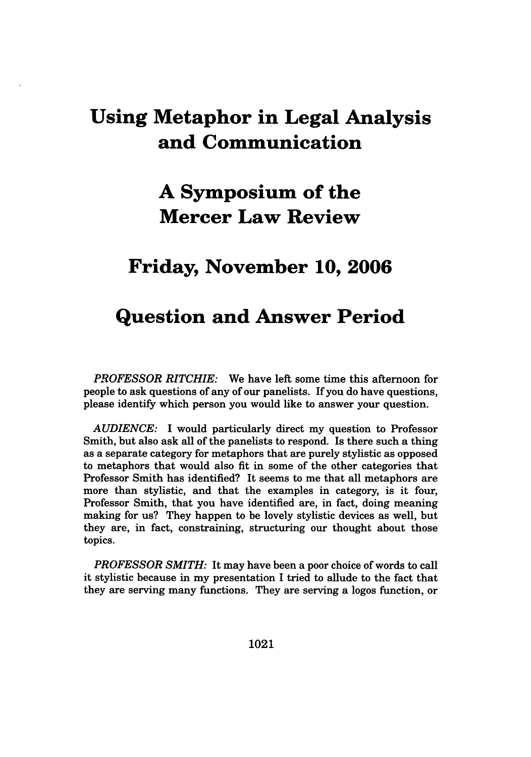## **Using Metaphor in Legal Analysis and Communication**

# **A Symposium of the Mercer Law Review**

## **Friday, November 10, 2006**

## **Question and Answer Period**

*PROFESSOR RITCHIE:* We have left some time this afternoon for people to ask questions of any of our panelists. If you do have questions, please identify which person you would like to answer your question.

*AUDIENCE:* **I** would particularly direct my question to Professor Smith, but also ask all of the panelists to respond. Is there such a thing as a separate category for metaphors that are purely stylistic as opposed to metaphors that would also fit in some of the other categories that Professor Smith has identified? It seems to me that all metaphors are more than stylistic, and that the examples in category, is it four, Professor Smith, that you have identified are, in fact, doing meaning making for us? They happen to be lovely stylistic devices as well, but they are, in fact, constraining, structuring our thought about those topics.

*PROFESSOR SMITH:* It may have been a poor choice of words to call it stylistic because in my presentation I tried to allude to the fact that they are serving many functions. They are serving a logos function, or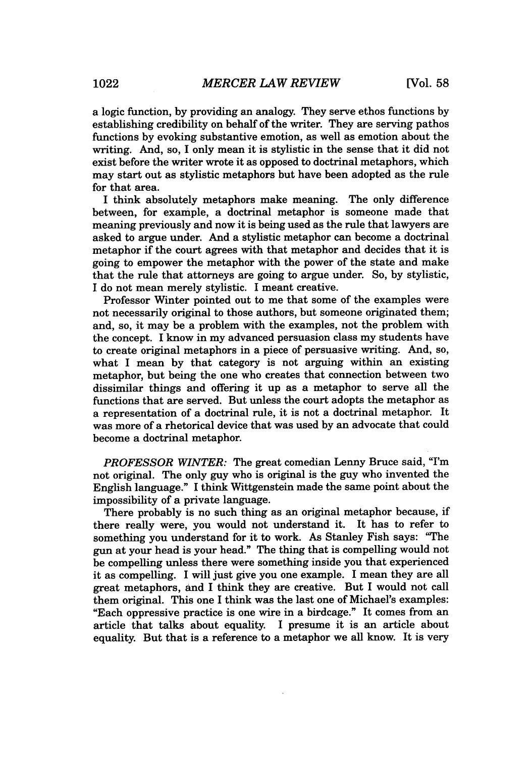a logic function, by providing an analogy. They serve ethos functions by establishing credibility on behalf of the writer. They are serving pathos functions by evoking substantive emotion, as well as emotion about the writing. And, so, I only mean it is stylistic in the sense that it did not exist before the writer wrote it as opposed to doctrinal metaphors, which may start out as stylistic metaphors but have been adopted as the rule for that area.

I think absolutely metaphors make meaning. The only difference between, for example, a doctrinal metaphor is someone made that meaning previously and now it is being used as the rule that lawyers are asked to argue under. And a stylistic metaphor can become a doctrinal metaphor if the court agrees with that metaphor and decides that it is going to empower the metaphor with the power of the state and make that the rule that attorneys are going to argue under. So, by stylistic, I do not mean merely stylistic. I meant creative.

Professor Winter pointed out to me that some of the examples were not necessarily original to those authors, but someone originated them; and, so, it may be a problem with the examples, not the problem with the concept. I know in my advanced persuasion class my students have to create original metaphors in a piece of persuasive writing. And, so, what I mean by that category is not arguing within an existing metaphor, but being the one who creates that connection between two dissimilar things and offering it up as a metaphor to serve all the functions that are served. But unless the court adopts the metaphor as a representation of a doctrinal rule, it is not a doctrinal metaphor. It was more of a rhetorical device that was used by an advocate that could become a doctrinal metaphor.

*PROFESSOR WINTER:* The great comedian Lenny Bruce said, "I'm not original. The only guy who is original is the guy who invented the English language." I think Wittgenstein made the same point about the impossibility of a private language.

There probably is no such thing as an original metaphor because, if there really were, you would not understand it. It has to refer to something you understand for it to work. As Stanley Fish says: "The gun at your head is your head." The thing that is compelling would not be compelling unless there were something inside you that experienced it as compelling. I will just give you one example. I mean they are all great metaphors, and I think they are creative. But I would not call them original. This one I think was the last one of Michael's examples: "Each oppressive practice is one wire in a birdcage." It comes from an article that talks about equality. I presume it is an article about equality. But that is a reference to a metaphor we all know. It is very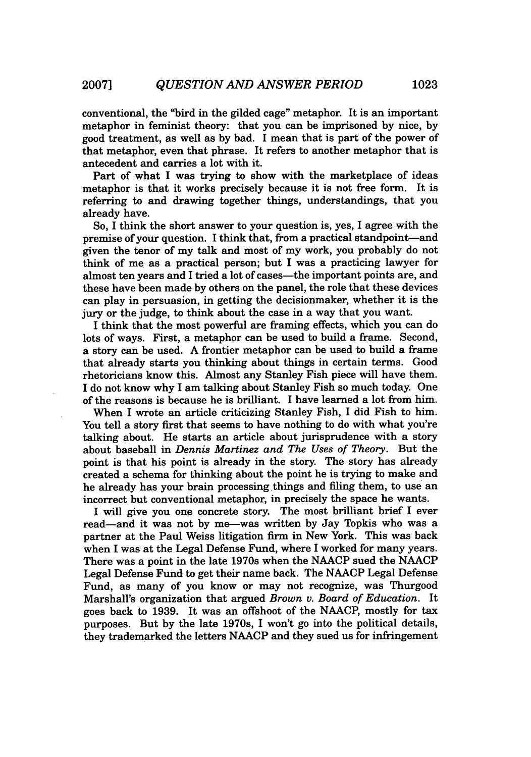conventional, the "bird in the gilded cage" metaphor. It is an important metaphor in feminist theory: that you can be imprisoned by nice, by good treatment, as well as by bad. I mean that is part of the power of that metaphor, even that phrase. It refers to another metaphor that is antecedent and carries a lot with it.

Part of what I was trying to show with the marketplace of ideas metaphor is that it works precisely because it is not free form. It is referring to and drawing together things, understandings, that you already have.

So, I think the short answer to your question is, yes, I agree with the premise of your question. I think that, from a practical standpoint-and given the tenor of my talk and most of my work, you probably do not think of me as a practical person; but I was a practicing lawyer for almost ten years and I tried a lot of cases-the important points are, and these have been made by others on the panel, the role that these devices can play in persuasion, in getting the decisionmaker, whether it is the jury or the judge, to think about the case in a way that you want.

I think that the most powerful are framing effects, which you can do lots of ways. First, a metaphor can be used to build a frame. Second, a story can be used. A frontier metaphor can be used to build a frame that already starts you thinking about things in certain terms. Good rhetoricians know this. Almost any Stanley Fish piece will have them. I do not know why I am talking about Stanley Fish so much today. One of the reasons is because he is brilliant. I have learned a lot from him.

When I wrote an article criticizing Stanley Fish, I did Fish to him. You tell a story first that seems to have nothing to do with what you're talking about. He starts an article about jurisprudence with a story about baseball in *Dennis Martinez and The Uses of Theory.* But the point is that his point is already in the story. The story has already created a schema for thinking about the point he is trying to make and he already has your brain processing things and filing them, to use an incorrect but conventional metaphor, in precisely the space he wants.

I will give you one concrete story. The most brilliant brief I ever read—and it was not by me—was written by Jay Topkis who was a partner at the Paul Weiss litigation firm in New York. This was back when I was at the Legal Defense Fund, where I worked for many years. There was a point in the late 1970s when the NAACP sued the NAACP Legal Defense Fund to get their name back. The NAACP Legal Defense Fund, as many of you know or may not recognize, was Thurgood Marshall's organization that argued *Brown v. Board of Education.* It goes back to 1939. It was an offshoot of the NAACP, mostly for tax purposes. But by the late 1970s, I won't go into the political details, they trademarked the letters NAACP and they sued us for infringement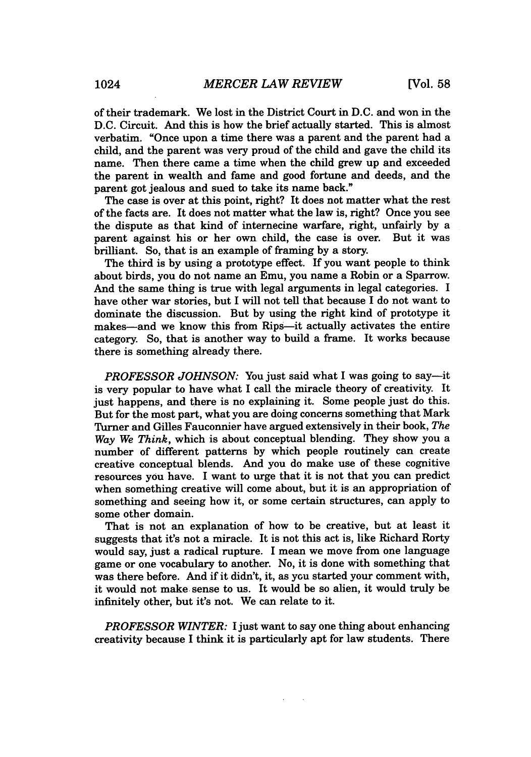of their trademark. We lost in the District Court in **D.C.** and won in the D.C. Circuit. And this is how the brief actually started. This is almost verbatim. "Once upon a time there was a parent and the parent had a child, and the parent was very proud of the child and gave the child its name. Then there came a time when the child grew up and exceeded the parent in wealth and fame and good fortune and deeds, and the parent got jealous and sued to take its name back."

The case is over at this point, right? It does not matter what the rest of the facts are. It does not matter what the law is, right? Once you see the dispute as that kind of internecine warfare, right, unfairly by a parent against his or her own child, the case is over. But it was brilliant. So, that is an example of framing by a story.

The third is by using a prototype effect. If you want people to think about birds, you do not name an Emu, you name a Robin or a Sparrow. And the same thing is true with legal arguments in legal categories. I have other war stories, but I will not tell that because I do not want to dominate the discussion. But by using the right kind of prototype it makes-and we know this from Rips-it actually activates the entire category. So, that is another way to build a frame. It works because there is something already there.

*PROFESSOR JOHNSON:* You just said what I was going to say—it is very popular to have what I call the miracle theory of creativity. It just happens, and there is no explaining it. Some people just do this. But for the most part, what you are doing concerns something that Mark Turner and Gilles Fauconnier have argued extensively in their book, *The Way We Think,* which is about conceptual blending. They show you a number of different patterns by which people routinely can create creative conceptual blends. And you do make use of these cognitive resources you have. I want to urge that it is not that you can predict when something creative will come about, but it is an appropriation of something and seeing how it, or some certain structures, can apply to some other domain.

That is not an explanation of how to be creative, but at least it suggests that it's not a miracle. It is not this act is, like Richard Rorty would say, just a radical rupture. I mean we move from one language game or one vocabulary to another. No, it is done with something that was there before. And if it didn't, it, as you started your comment with, it would not make sense to us. It would be so alien, it would truly be infinitely other, but it's not. We can relate to it.

*PROFESSOR WINTER:* I just want to say one thing about enhancing creativity because I think it is particularly apt for law students. There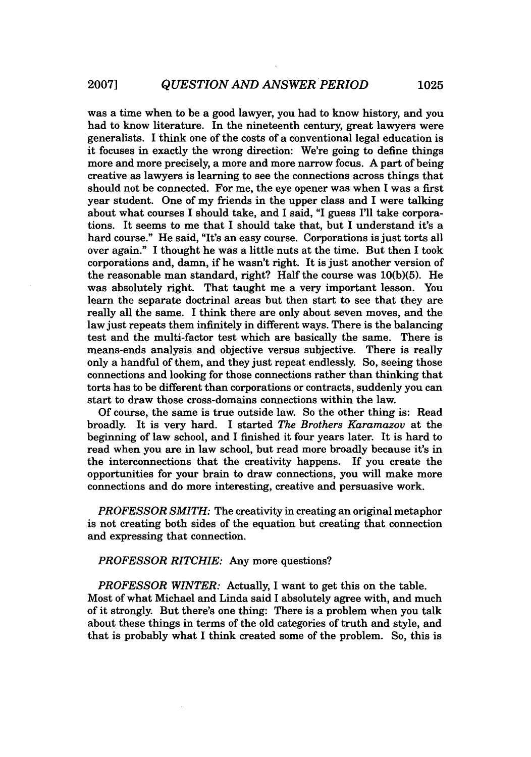was a time when to be a good lawyer, you had to know history, and you had to know literature. In the nineteenth century, great lawyers were generalists. I think one of the costs of a conventional legal education is it focuses in exactly the wrong direction: We're going to define things more and more precisely, a more and more narrow focus. A part of being creative as lawyers is learning to see the connections across things that should not be connected. For me, the eye opener was when I was a first year student. One of my friends in the upper class and I were talking about what courses I should take, and I said, "I guess I'll take corporations. It seems to me that I should take that, but I understand it's a hard course." He said, "It's an easy course. Corporations is just torts all over again." I thought he was a little nuts at the time. But then I took corporations and, damn, if he wasn't right. It is just another version of the reasonable man standard, right? Half the course was 10(b)(5). He was absolutely right. That taught me a very important lesson. You learn the separate doctrinal areas but then start to see that they are really all the same. I think there are only about seven moves, and the law just repeats them infinitely in different ways. There is the balancing test and the multi-factor test which are basically the same. There is means-ends analysis and objective versus subjective. There is really only a handful of them, and they just repeat endlessly. So, seeing those connections and looking for those connections rather than thinking that torts has to be different than corporations or contracts, suddenly you can start to draw those cross-domains connections within the law.

Of course, the same is true outside law. So the other thing is: Read broadly. It is very hard. I started *The Brothers Karamazov* at the beginning of law school, and I finished it four years later. It is hard to read when you are in law school, but read more broadly because it's in the interconnections that the creativity happens. If you create the opportunities for your brain to draw connections, you will make more connections and do more interesting, creative and persuasive work.

*PROFESSOR SMITH:* The creativity in creating an original metaphor is not creating both sides of the equation but creating that connection and expressing that connection.

*PROFESSOR RITCHIE:* Any more questions?

*PROFESSOR WINTER:* Actually, I want to get this on the table. Most of what Michael and Linda said I absolutely agree with, and much of it strongly. But there's one thing: There is a problem when you talk about these things in terms of the old categories of truth and style, and that is probably what I think created some of the problem. So, this is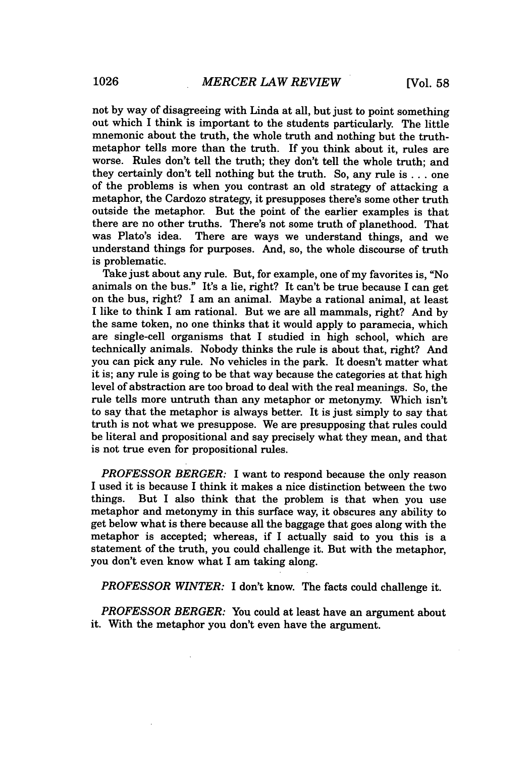not by way of disagreeing with Linda at all, but just to point something out which I think is important to the students particularly. The little mnemonic about the truth, the whole truth and nothing but the truthmetaphor tells more than the truth. If you think about it, rules are worse. Rules don't tell the truth; they don't tell the whole truth; and they certainly don't tell nothing but the truth. So, any rule is... one of the problems is when you contrast an old strategy of attacking a metaphor, the Cardozo strategy, it presupposes there's some other truth outside the metaphor. But the point of the earlier examples is that there are no other truths. There's not some truth of planethood. That was Plato's idea. There are ways we understand things, and we There are ways we understand things, and we understand things for purposes. And, so, the whole discourse of truth is problematic.

Take just about any rule. But, for example, one of my favorites is, "No animals on the bus." It's a lie, right? It can't be true because I can get on the bus, right? I am an animal. Maybe a rational animal, at least I like to think I am rational. But we are all mammals, right? And by the same token, no one thinks that it would apply to paramecia, which are single-cell organisms that I studied in high school, which are technically animals. Nobody thinks the rule is about that, right? And you can pick any rule. No vehicles in the park. It doesn't matter what it is; any rule is going to be that way because the categories at that high level of abstraction are too broad to deal with the real meanings. So, the rule tells more untruth than any metaphor or metonymy. Which isn't to say that the metaphor is always better. It is just simply to say that truth is not what we presuppose. We are presupposing that rules could be literal and propositional and say precisely what they mean, and that is not true even for propositional rules.

*PROFESSOR BERGER:* I want to respond because the only reason I used it is because I think it makes a nice distinction between the two things. But I also think that the problem is that when you use metaphor and metonymy in this surface way, it obscures any ability to get below what is there because all the baggage that goes along with the metaphor is accepted; whereas, if I actually said to you this is a statement of the truth, you could challenge it. But with the metaphor, you don't even know what I am taking along.

*PROFESSOR WINTER:* I don't know. The facts could challenge it.

*PROFESSOR BERGER:* You could at least have an argument about it. With the metaphor you don't even have the argument.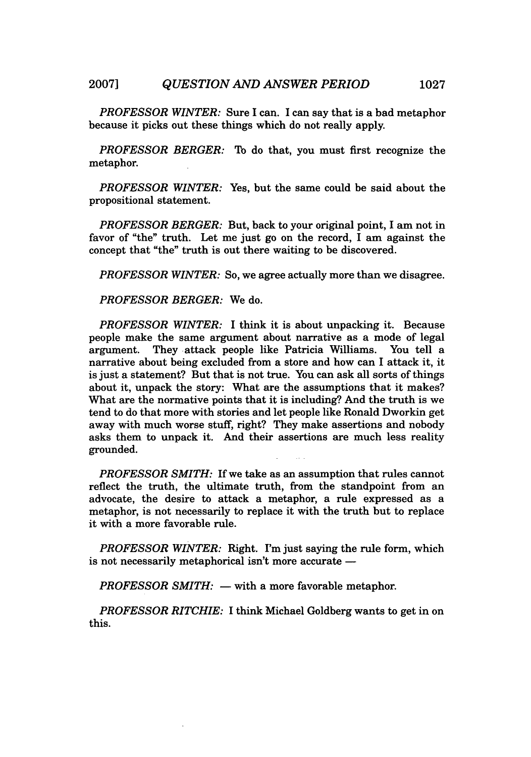*PROFESSOR WINTER:* Sure I can. I can say that is a bad metaphor because it picks out these things which do not really apply.

*PROFESSOR BERGER:* To do that, you must first recognize the metaphor.

*PROFESSOR WINTER:* Yes, but the same could be said about the propositional statement.

*PROFESSOR BERGER:* But, back to your original point, I am not in favor of "the" truth. Let me just go on the record, I am against the concept that "the" truth is out there waiting to be discovered.

*PROFESSOR WINTER:* So, we agree actually more than we disagree.

*PROFESSOR BERGER:* We do.

*PROFESSOR WINTER:* I think it is about unpacking it. Because people make the same argument about narrative as a mode of legal argument. They attack people like Patricia Williams. You tell a narrative about being excluded from a store and how can I attack it, it is just a statement? But that is not true. You can ask all sorts of things about it, unpack the story: What are the assumptions that it makes? What are the normative points that it is including? And the truth is we tend to do that more with stories and let people like Ronald Dworkin get away with much worse stuff, right? They make assertions and nobody asks them to unpack it. And their assertions are much less reality grounded.

*PROFESSOR SMITH:* If we take as an assumption that rules cannot reflect the truth, the ultimate truth, from the standpoint from an advocate, the desire to attack a metaphor, a rule expressed as a metaphor, is not necessarily to replace it with the truth but to replace it with a more favorable rule.

*PROFESSOR WINTER:* Right. I'm just saying the rule form, which is not necessarily metaphorical isn't more accurate  $-$ 

*PROFESSOR SMITH:* - with a more favorable metaphor.

*PROFESSOR RITCHIE:* I think Michael Goldberg wants to get in on this.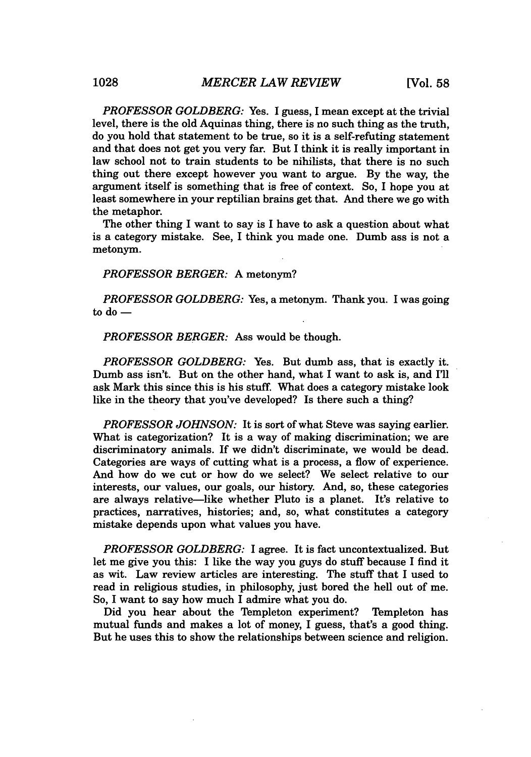*PROFESSOR GOLDBERG:* Yes. I guess, I mean except at the trivial level, there is the old Aquinas thing, there is no such thing as the truth, do you hold that statement to be true, so it is a self-refuting statement and that does not get you very far. But I think it is really important in law school not to train students to be nihilists, that there is no such thing out there except however you want to argue. By the way, the argument itself is something that is free of context. So, I hope you at least somewhere in your reptilian brains get that. And there we go with the metaphor.

The other thing I want to say is I have to ask a question about what is a category mistake. See, I think you made one. Dumb ass is not a metonym.

*PROFESSOR BERGER:* A metonym?

*PROFESSOR GOLDBERG:* Yes, a metonym. Thank you. I was going to  $d\sigma$   $-$ 

*PROFESSOR BERGER:* Ass would be though.

*PROFESSOR GOLDBERG:* Yes. But dumb ass, that is exactly it. Dumb ass isn't. But on the other hand, what I want to ask is, and I'll ask Mark this since this is his stuff. What does a category mistake look like in the theory that you've developed? Is there such a thing?

*PROFESSOR JOHNSON:* It is sort of what Steve was saying earlier. What is categorization? It is a way of making discrimination; we are discriminatory animals. If we didn't discriminate, we would be dead. Categories are ways of cutting what is a process, a flow of experience. And how do we cut or how do we select? We select relative to our interests, our values, our goals, our history. And, so, these categories are always relative-like whether Pluto is a planet. It's relative to practices, narratives, histories; and, so, what constitutes a category mistake depends upon what values you have.

*PROFESSOR GOLDBERG:* I agree. It is fact uncontextualized. But let me give you this: I like the way you guys do stuff because I find it as wit. Law review articles are interesting. The stuff that I used to read in religious studies, in philosophy, just bored the hell out of me. So, I want to say how much I admire what you do.

Did you hear about the Templeton experiment? Templeton has mutual funds and makes a lot of money, I guess, that's a good thing. But he uses this to show the relationships between science and religion.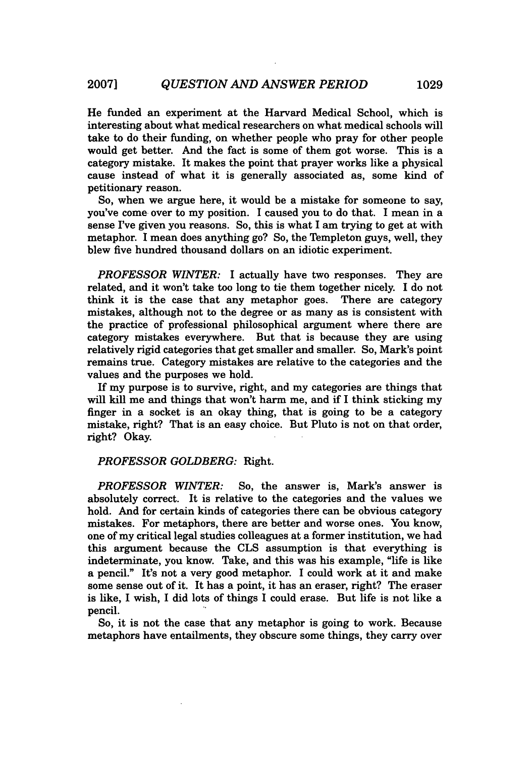He funded an experiment at the Harvard Medical School, which is interesting about what medical researchers on what medical schools will take to do their funding, on whether people who pray for other people would get better. And the fact is some of them got worse. This is a category mistake. It makes the point that prayer works like a physical cause instead of what it is generally associated as, some kind of petitionary reason.

So, when we argue here, it would be a mistake for someone to say, you've come over to my position. I caused you to do that. I mean in a sense I've given you reasons. So, this is what I am trying to get at with metaphor. I mean does anything go? So, the Templeton guys, well, they blew five hundred thousand dollars on an idiotic experiment.

*PROFESSOR WINTER:* I actually have two responses. They are related, and it won't take too long to tie them together nicely. **I** do not think it is the case that any metaphor goes. There are category mistakes, although not to the degree or as many as is consistent with the practice of professional philosophical argument where there are category mistakes everywhere. But that is because they are using relatively rigid categories that get smaller and smaller. So, Mark's point remains true. Category mistakes are relative to the categories and the values and the purposes we hold.

If my purpose is to survive, right, and my categories are things that will kill me and things that won't harm me, and if I think sticking my finger in a socket is an okay thing, that is going to be a category mistake, right? That is an easy choice. But Pluto is not on that order, right? Okay.

#### *PROFESSOR GOLDBERG:* Right.

*PROFESSOR WINTER:* So, the answer is, Mark's answer is absolutely correct. It is relative to the categories and the values we hold. And for certain kinds of categories there can be obvious category mistakes. For metaphors, there are better and worse ones. You know, one of my critical legal studies colleagues at a former institution, we had this argument because the **CLS** assumption is that everything is indeterminate, you know. Take, and this was his example, "life is like a pencil." It's not a very good metaphor. I could work at it and make some sense out of it. It has a point, it has an eraser, right? The eraser is like, I wish, I did lots of things I could erase. But life is not like a pencil.

So, it is not the case that any metaphor is going to work. Because metaphors have entailments, they obscure some things, they carry over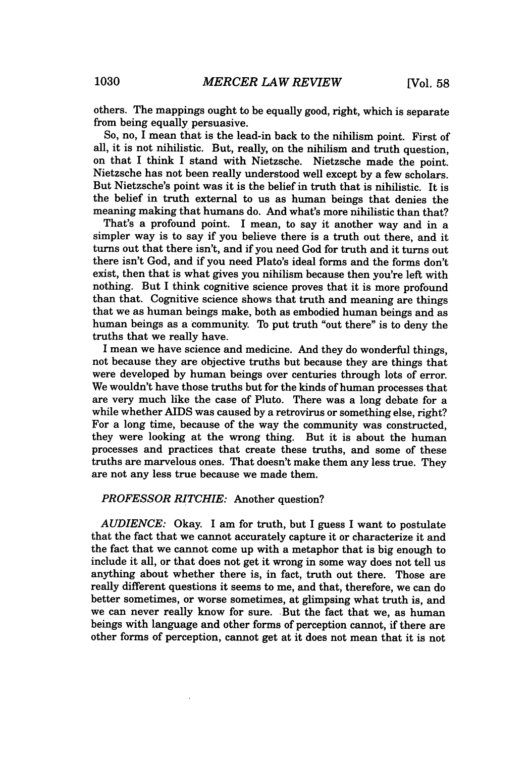others. The mappings ought to be equally good, right, which is separate from being equally persuasive.

So, no, I mean that is the lead-in back to the nihilism point. First of all, it is not nihilistic. But, really, on the nihilism and truth question, on that I think I stand with Nietzsche. Nietzsche made the point. Nietzsche has not been really understood well except by a few scholars. But Nietzsche's point was it is the belief in truth that is nihilistic. It is the belief in truth external to us as human beings that denies the meaning making that humans do. And what's more nihilistic than that?

That's a profound point. I mean, to say it another way and in a simpler way is to say if you believe there is a truth out there, and it turns out that there isn't, and if you need God for truth and it turns out there isn't God, and if you need Plato's ideal forms and the forms don't exist, then that is what gives you nihilism because then you're left with nothing. But I think cognitive science proves that it is more profound than that. Cognitive science shows that truth and meaning are things that we as human beings make, both as embodied human beings and as human beings as a community. To put truth "out there" is to deny the truths that we really have.

I mean we have science and medicine. And they do wonderful things, not because they are objective truths but because they are things that were developed by human beings over centuries through lots of error. We wouldn't have those truths but for the kinds of human processes that are very much like the case of Pluto. There was a long debate for a while whether AIDS was caused by a retrovirus or something else, right? For a long time, because of the way the community was constructed, they were looking at the wrong thing. But it is about the human processes and practices that create these truths, and some of these truths are marvelous ones. That doesn't make them any less true. They are not any less true because we made them.

#### *PROFESSOR RITCHIE:* Another question?

*AUDIENCE:* Okay. I am for truth, but I guess I want to postulate that the fact that we cannot accurately capture it or characterize it and the fact that we cannot come up with a metaphor that is big enough to include it all, or that does not get it wrong in some way does not tell us anything about whether there is, in fact, truth out there. Those are really different questions it seems to me, and that, therefore, we can do better sometimes, or worse sometimes, at glimpsing what truth is, and we can never really know for sure. But the fact that we, as human beings with language and other forms of perception cannot, if there are other forms of perception, cannot get at it does not mean that it is not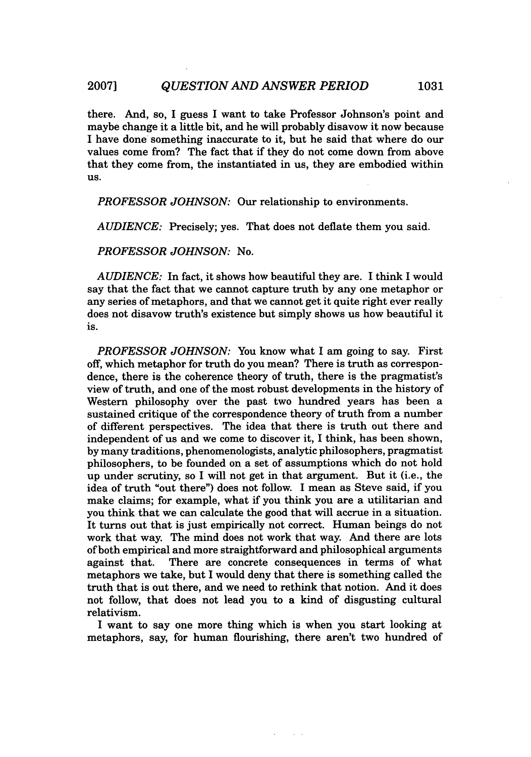there. And, so, I guess I want to take Professor Johnson's point and maybe change it a little bit, and he will probably disavow it now because I have done something inaccurate to it, but he said that where do our values come from? The fact that if they do not come down from above that they come from, the instantiated in us, they are embodied within US.

*PROFESSOR JOHNSON:* Our relationship to environments.

*AUDIENCE:* Precisely; yes. That does not deflate them you said.

*PROFESSOR JOHNSON:* No.

*AUDIENCE:* In fact, it shows how beautiful they are. I think I would say that the fact that we cannot capture truth by any one metaphor or any series of metaphors, and that we cannot get it quite right ever really does not disavow truth's existence but simply shows us how beautiful it is.

*PROFESSOR JOHNSON:* You know what I am going to say. First off, which metaphor for truth do you mean? There is truth as correspondence, there is the coherence theory of truth, there is the pragmatist's view of truth, and one of the most robust developments in the history of Western philosophy over the past two hundred years has been a sustained critique of the correspondence theory of truth from a number of different perspectives. The idea that there is truth out there and independent of us and we come to discover it, I think, has been shown, by many traditions, phenomenologists, analytic philosophers, pragmatist philosophers, to be founded on a set of assumptions which do not hold up under scrutiny, so I will not get in that argument. But it (i.e., the idea of truth "out there") does not follow. I mean as Steve said, if you make claims; for example, what if you think you are a utilitarian and you think that we can calculate the good that will accrue in a situation. It turns out that is just empirically not correct. Human beings do not work that way. The mind does not work that way. And there are lots of both empirical and more straightforward and philosophical arguments against that. There are concrete consequences in terms of what metaphors we take, but I would deny that there is something called the truth that is out there, and we need to rethink that notion. And it does not follow, that does not lead you to a kind of disgusting cultural relativism.

I want to say one more thing which is when you start looking at metaphors, say, for human flourishing, there aren't two hundred of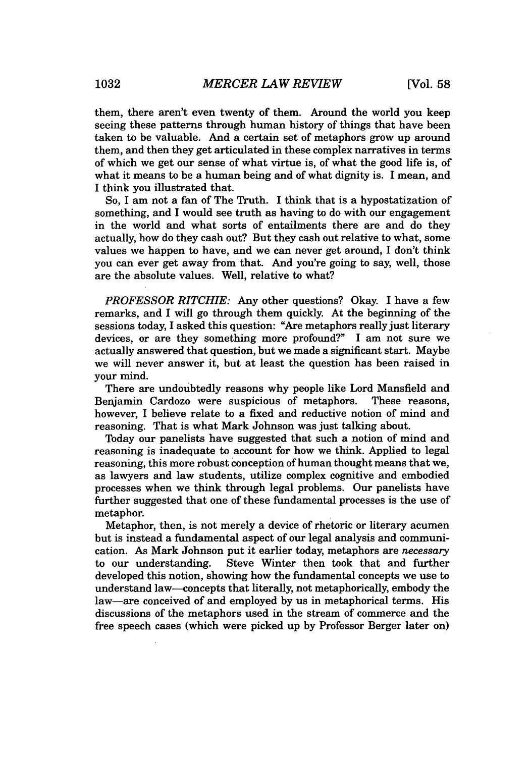them, there aren't even twenty of them. Around the world you keep seeing these patterns through human history of things that have been taken to be valuable. And a certain set of metaphors grow up around them, and then they get articulated in these complex narratives in terms of which we get our sense of what virtue is, of what the good life is, of what it means to be a human being and of what dignity is. I mean, and I think you illustrated that.

So, I am not a fan of The Truth. I think that is a hypostatization of something, and I would see truth as having to do with our engagement in the world and what sorts of entailments there are and do they actually, how do they cash out? But they cash out relative to what, some values we happen to have, and we can never get around, I don't think you can ever get away from that. And you're going to say, well, those are the absolute values. Well, relative to what?

*PROFESSOR RITCHIE:* Any other questions? Okay. I have a few remarks, and I will go through them quickly. At the beginning of the sessions today, I asked this question: "Are metaphors really just literary devices, or are they something more profound?" I am not sure we actually answered that question, but we made a significant start. Maybe we will never answer it, but at least the question has been raised in your mind.

There are undoubtedly reasons why people like Lord Mansfield and Benjamin Cardozo were suspicious of metaphors. These reasons, however, I believe relate to a fixed and reductive notion of mind and reasoning. That is what Mark Johnson was just talking about.

Today our panelists have suggested that such a notion of mind and reasoning is inadequate to account for how we think. Applied to legal reasoning, this more robust conception of human thought means that we, as lawyers and law students, utilize complex cognitive and embodied processes when we think through legal problems. Our panelists have further suggested that one of these fundamental processes is the use of metaphor.

Metaphor, then, is not merely a device of rhetoric or literary acumen but is instead a fundamental aspect of our legal analysis and communication. As Mark Johnson put it earlier today, metaphors are *necessary* to our understanding. Steve Winter then took that and further developed this notion, showing how the fundamental concepts we use to understand law-concepts that literally, not metaphorically, embody the law-are conceived of and employed by us in metaphorical terms. His discussions of the metaphors used in the stream of commerce and the free speech cases (which were picked up by Professor Berger later on)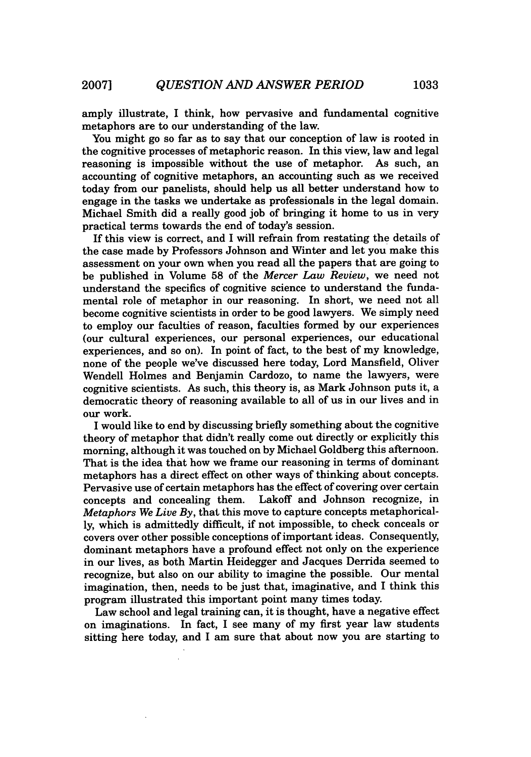amply illustrate, I think, how pervasive and fundamental cognitive metaphors are to our understanding of the law.

You might go so far as to say that our conception of law is rooted in the cognitive processes of metaphoric reason. In this view, law and legal reasoning is impossible without the use of metaphor. As such, an reasoning is impossible without the use of metaphor. accounting of cognitive metaphors, an accounting such as we received today from our panelists, should help us all better understand how to engage in the tasks we undertake as professionals in the legal domain. Michael Smith did a really good job of bringing it home to us in very practical terms towards the end of today's session.

If this view is correct, and I will refrain from restating the details of the case made by Professors Johnson and Winter and let you make this assessment on your own when you read all the papers that are going to be published in Volume 58 of the *Mercer Law Review,* we need not understand the specifics of cognitive science to understand the fundamental role of metaphor in our reasoning. In short, we need not all become cognitive scientists in order to be good lawyers. We simply need to employ our faculties of reason, faculties formed by our experiences (our cultural experiences, our personal experiences, our educational experiences, and so on). In point of fact, to the best of my knowledge, none of the people we've discussed here today, Lord Mansfield, Oliver Wendell Holmes and Benjamin Cardozo, to name the lawyers, were cognitive scientists. As such, this theory is, as Mark Johnson puts it, a democratic theory of reasoning available to all of us in our lives and in our work.

I would like to end by discussing briefly something about the cognitive theory of metaphor that didn't really come out directly or explicitly this morning, although it was touched on by Michael Goldberg this afternoon. That is the idea that how we frame our reasoning in terms of dominant metaphors has a direct effect on other ways of thinking about concepts. Pervasive use of certain metaphors has the effect of covering over certain concepts and concealing them. Lakoff and Johnson recognize, in *Metaphors We Live By,* that this move to capture concepts metaphorically, which is admittedly difficult, if not impossible, to check conceals or covers over other possible conceptions of important ideas. Consequently, dominant metaphors have a profound effect not only on the experience in our lives, as both Martin Heidegger and Jacques Derrida seemed to recognize, but also on our ability to imagine the possible. Our mental imagination, then, needs to be just that, imaginative, and I think this program illustrated this important point many times today.

Law school and legal training can, it is thought, have a negative effect on imaginations. In fact, I see many of my first year law students sitting here today, and I am sure that about now you are starting to